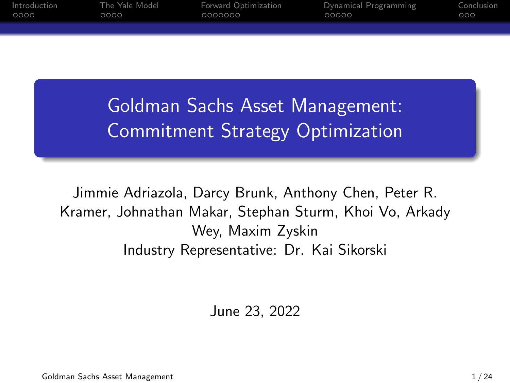| Introduction<br>0000 | The Yale Model<br>0000 | Forward Optimization<br>0000000 | Dynamical Programming<br>00000 | Conclusion<br>000 |
|----------------------|------------------------|---------------------------------|--------------------------------|-------------------|
|                      |                        |                                 |                                |                   |
|                      |                        |                                 |                                |                   |

Goldman Sachs Asset Management: Commitment Strategy Optimization

Jimmie Adriazola, Darcy Brunk, Anthony Chen, Peter R. Kramer, Johnathan Makar, Stephan Sturm, Khoi Vo, Arkady Wey, Maxim Zyskin Industry Representative: Dr. Kai Sikorski

June 23, 2022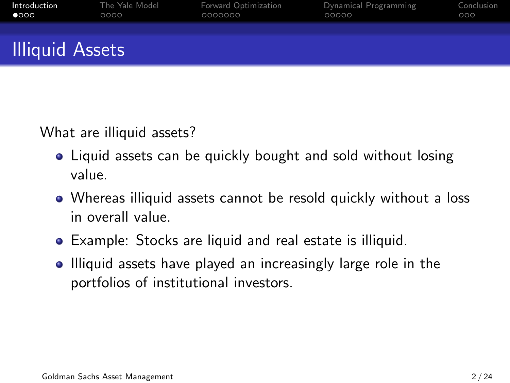<span id="page-1-0"></span>

| Introduction           | The Yale Model | Forward Optimization | Dynamical Programming | Conclusion |
|------------------------|----------------|----------------------|-----------------------|------------|
| $\bullet$ 000          | 0000           | 0000000              | 00000                 | 000        |
| <b>Illiquid Assets</b> |                |                      |                       |            |

What are illiquid assets?

- Liquid assets can be quickly bought and sold without losing value.
- Whereas illiquid assets cannot be resold quickly without a loss in overall value.
- Example: Stocks are liquid and real estate is illiquid.
- Illiquid assets have played an increasingly large role in the portfolios of institutional investors.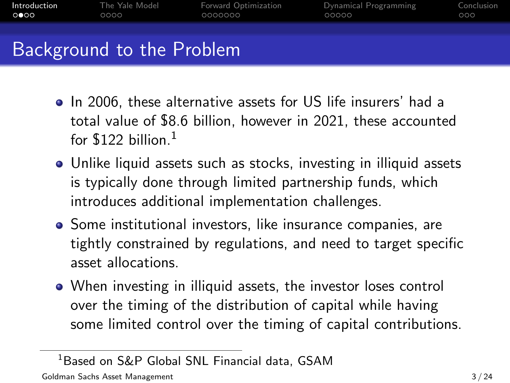| Introduction | The Yale Model            | Forward Optimization | Dynamical Programming | Conclusion |
|--------------|---------------------------|----------------------|-----------------------|------------|
| ററേറ         | 0000                      | 0000000              | 00000                 | 000        |
|              | Background to the Problem |                      |                       |            |

- In 2006, these alternative assets for US life insurers' had a total value of \$8.6 billion, however in 2021, these accounted for  $$122$  billion.<sup>1</sup>
- Unlike liquid assets such as stocks, investing in illiquid assets is typically done through limited partnership funds, which introduces additional implementation challenges.
- **•** Some institutional investors, like insurance companies, are tightly constrained by regulations, and need to target specific asset allocations.
- When investing in illiquid assets, the investor loses control over the timing of the distribution of capital while having some limited control over the timing of capital contributions.

<sup>1</sup>Based on S&P Global SNL Financial data, GSAM

Goldman Sachs Asset Management 3/24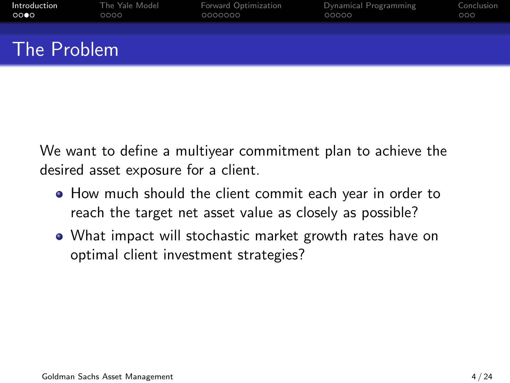| Introduction | The Yale Model | Forward Optimization | Dynamical Programming | Conclusion |
|--------------|----------------|----------------------|-----------------------|------------|
| 0000         | 0000           | 0000000              | 00000                 | 000        |
| The Problem  |                |                      |                       |            |

We want to define a multiyear commitment plan to achieve the desired asset exposure for a client.

- How much should the client commit each year in order to reach the target net asset value as closely as possible?
- What impact will stochastic market growth rates have on optimal client investment strategies?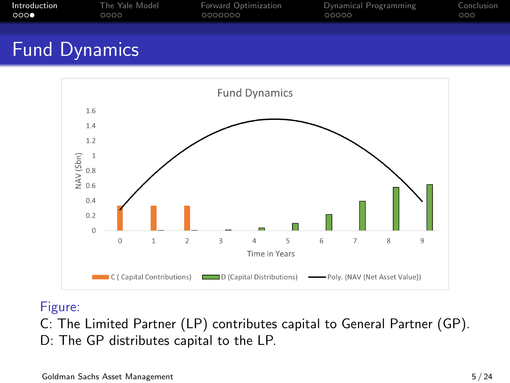| Introduction | The Yale Model | Forward Optimization | Dynamical Programming | Conclusion |
|--------------|----------------|----------------------|-----------------------|------------|
| 000          | 0000           | 0000000              | 00000                 | 000        |
|              |                |                      |                       |            |

## Fund Dynamics



#### Figure:

C: The Limited Partner (LP) contributes capital to General Partner (GP). D: The GP distributes capital to the LP.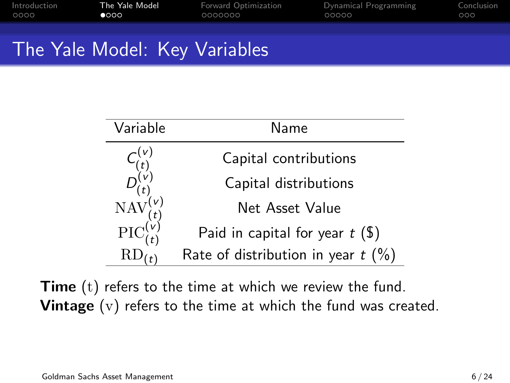<span id="page-5-0"></span>

| Introduction | The Yale Model | <b>Forward Optimization</b> | Dynamical Programming | Conclusion |
|--------------|----------------|-----------------------------|-----------------------|------------|
| 0000         | $\bullet$ 000  | 0000000                     | 00000                 | 000        |
|              |                |                             |                       |            |

## The Yale Model: Key Variables

| Variable                                       | Name                                 |
|------------------------------------------------|--------------------------------------|
|                                                | Capital contributions                |
|                                                | Capital distributions                |
| $\text{NAV}^{(t)}_{(t)}$<br>PIC $^{(v)}_{(t)}$ | Net Asset Value                      |
|                                                | Paid in capital for year $t($ \$)    |
|                                                | Rate of distribution in year $t$ (%) |

Time (t) refers to the time at which we review the fund. **Vintage** (v) refers to the time at which the fund was created.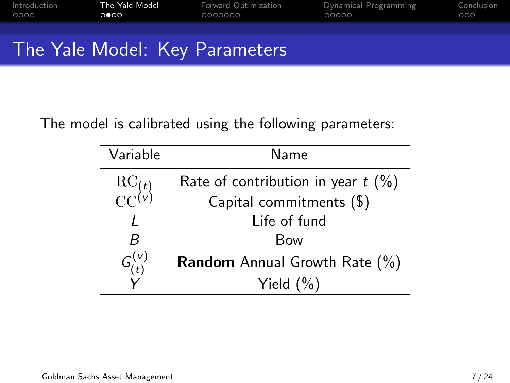| Introduction<br>0000 | The Yale Model<br>$\circ \bullet \circ \circ$ | Forward Optimization<br>0000000    | Dynamical Programming<br>00000 | Conclusion<br>000 |
|----------------------|-----------------------------------------------|------------------------------------|--------------------------------|-------------------|
|                      |                                               |                                    |                                |                   |
|                      |                                               | . The Velo Medal IZ . Deserved and |                                |                   |

## The Yale Model: Key Parameters

#### The model is calibrated using the following parameters:

| Variable                                  | Name                                    |
|-------------------------------------------|-----------------------------------------|
| $\frac{\text{RC}_{(t)}}{\text{CC}^{(v)}}$ | Rate of contribution in year $t$ (%)    |
|                                           | Capital commitments (\$)                |
|                                           | Life of fund                            |
| R                                         | <b>Bow</b>                              |
| $G_{(t)}^{(v)}$                           | <b>Random</b> Annual Growth Rate $(\%)$ |
|                                           | Yield $(\% )$                           |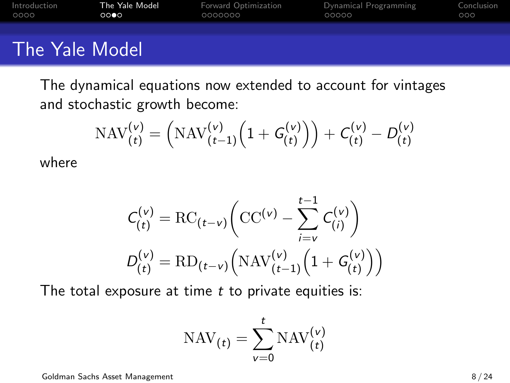| Introduction   | The Yale Model | Forward Optimization | Dynamical Programming | Conclusion |
|----------------|----------------|----------------------|-----------------------|------------|
| 0000           | 0000           | 0000000              | 00000                 | 000        |
| The Yale Model |                |                      |                       |            |

The dynamical equations now extended to account for vintages and stochastic growth become:

$$
\mathrm{NAV}_{(t)}^{(v)} = \left( \mathrm{NAV}_{(t-1)}^{(v)} \left( 1 + G_{(t)}^{(v)} \right) \right) + C_{(t)}^{(v)} - D_{(t)}^{(v)}
$$

where

$$
C_{(t)}^{(v)} = \text{RC}_{(t-v)} \bigg( \text{CC}^{(v)} - \sum_{i=v}^{t-1} C_{(i)}^{(v)} \bigg)
$$
  

$$
D_{(t)}^{(v)} = \text{RD}_{(t-v)} \bigg( \text{NAV}_{(t-1)}^{(v)} \bigg( 1 + G_{(t)}^{(v)} \bigg) \bigg)
$$

The total exposure at time  $t$  to private equities is:

$$
\text{NAV}_{(t)} = \sum_{v=0}^{t} \text{NAV}_{(t)}^{(v)}
$$

Goldman Sachs Asset Management 8 / 24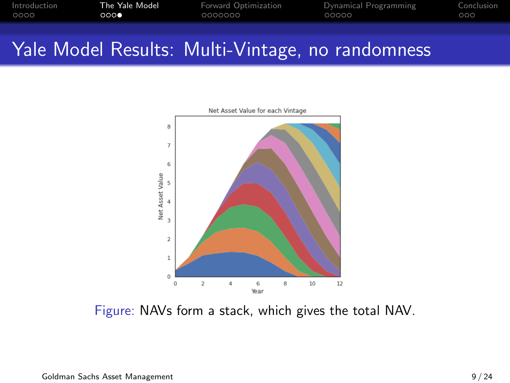| Introduction | The Yale Model | <b>Forward Optimization</b> | Dynamical Programming | Conclusion |
|--------------|----------------|-----------------------------|-----------------------|------------|
| 0000         | റററ            | 0000000                     | 00000                 | റററ        |
|              |                |                             |                       |            |

## Yale Model Results: Multi-Vintage, no randomness



Figure: NAVs form a stack, which gives the total NAV.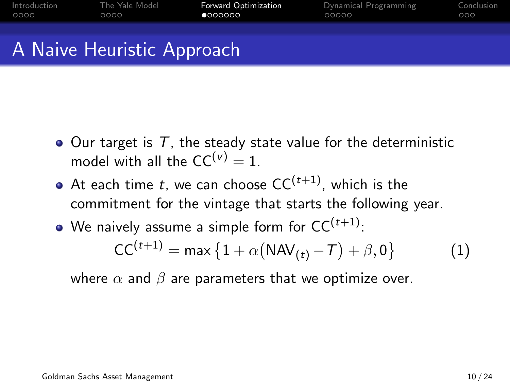<span id="page-9-0"></span>

| Introduction | The Yale Model | <b>Forward Optimization</b> | Dynamical Programming | Conclusion |
|--------------|----------------|-----------------------------|-----------------------|------------|
| 0000         | 0000           | 0000000                     | 00000                 | റററ        |
|              |                |                             |                       |            |
|              |                |                             |                       |            |
|              |                |                             |                       |            |

## A Naive Heuristic Approach

- $\bullet$  Our target is T, the steady state value for the deterministic model with all the  $CC^{(v)} = 1$ .
- At each time t, we can choose  $CC^{(t+1)}$ , which is the commitment for the vintage that starts the following year.
- We naively assume a simple form for  $CC^{(t+1)}$ :

$$
CC(t+1) = max {1 + \alpha (NAV(t) - T) + \beta, 0}
$$
 (1)

where  $\alpha$  and  $\beta$  are parameters that we optimize over.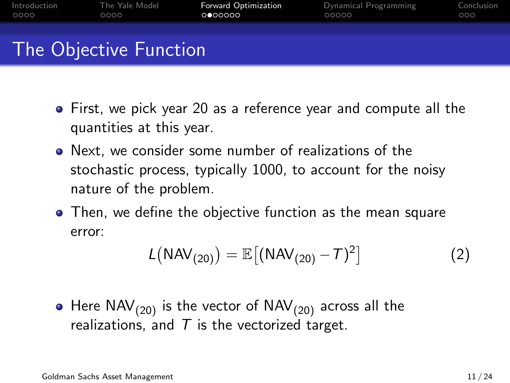| Introduction | The Yale Model         | <b>Forward Optimization</b> | Dynamical Programming | Conclusion |
|--------------|------------------------|-----------------------------|-----------------------|------------|
| 0000         | 0000                   | 0 000000                    | 00000                 | 000        |
|              | The Objective Function |                             |                       |            |

- First, we pick year 20 as a reference year and compute all the quantities at this year.
- Next, we consider some number of realizations of the stochastic process, typically 1000, to account for the noisy nature of the problem.
- Then, we define the objective function as the mean square error:

$$
L(NAV_{(20)}) = \mathbb{E}[(NAV_{(20)} - T)^2]
$$
 (2)

• Here  $\text{NAV}_{(20)}$  is the vector of  $\text{NAV}_{(20)}$  across all the realizations, and  $T$  is the vectorized target.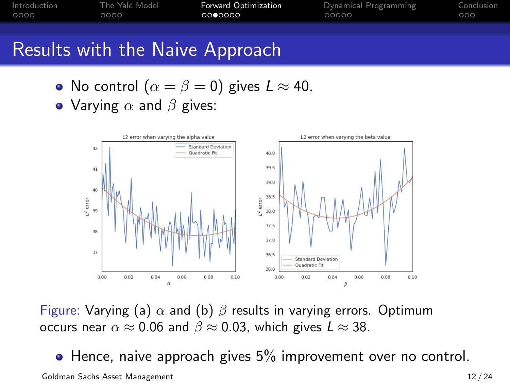| Introduction | The Yale Model | <b>Forward Optimization</b> | Dynamical Programming | Conclusion |
|--------------|----------------|-----------------------------|-----------------------|------------|
| OOOO         | 0000           | ററ⊜ററററ                     | LOOOOO                | റററ        |
|              |                |                             |                       |            |

#### Results with the Naive Approach

- No control  $(\alpha = \beta = 0)$  gives  $L \approx 40$ .
- Varying  $\alpha$  and  $\beta$  gives:



Figure: Varying (a)  $\alpha$  and (b)  $\beta$  results in varying errors. Optimum occurs near  $\alpha \approx 0.06$  and  $\beta \approx 0.03$ , which gives  $L \approx 38$ .

<span id="page-11-0"></span>• Hence, naive approach gives 5% improvement over no control. Goldman Sachs Asset Management 12 / 24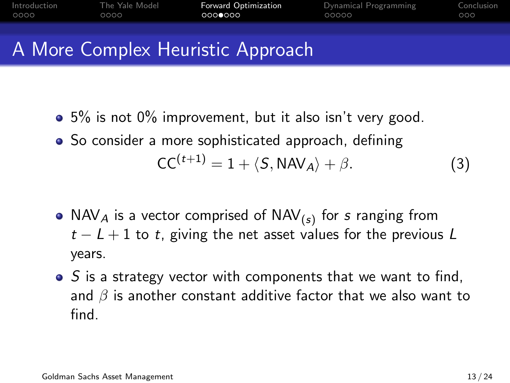| Introduction | The Yale Model | Forward Optimization              | Dynamical Programming | Conclusion |
|--------------|----------------|-----------------------------------|-----------------------|------------|
| 0000         | 0000           | 0000000                           | 00000                 | 000        |
|              |                | A More Complex Heuristic Approach |                       |            |

- 5% is not 0% improvement, but it also isn't very good.
- So consider a more sophisticated approach, defining  $CC^{(t+1)} = 1 + \langle S, \text{NAV}_A \rangle + \beta.$  (3)
- NAV $_A$  is a vector comprised of NAV $_{(s)}$  for  $s$  ranging from  $t - L + 1$  to t, giving the net asset values for the previous L years.
- $\bullet$  S is a strategy vector with components that we want to find, and  $\beta$  is another constant additive factor that we also want to find.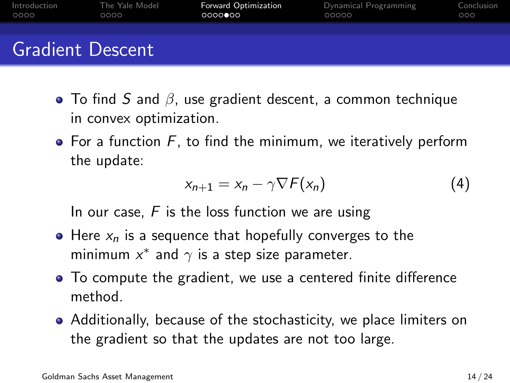| Introduction | The Yale Model          | <b>Forward Optimization</b> | Dynamical Programming | Conclusion |
|--------------|-------------------------|-----------------------------|-----------------------|------------|
| 0000         | 0000                    | $0000$ 000                  | 00000                 | 000        |
|              | <b>Gradient Descent</b> |                             |                       |            |

- To find S and  $\beta$ , use gradient descent, a common technique in convex optimization.
- $\bullet$  For a function F, to find the minimum, we iteratively perform the update:

$$
x_{n+1} = x_n - \gamma \nabla F(x_n) \tag{4}
$$

In our case.  $F$  is the loss function we are using

- $\bullet$  Here  $x_n$  is a sequence that hopefully converges to the minimum  $x^*$  and  $\gamma$  is a step size parameter.
- To compute the gradient, we use a centered finite difference method.
- Additionally, because of the stochasticity, we place limiters on the gradient so that the updates are not too large.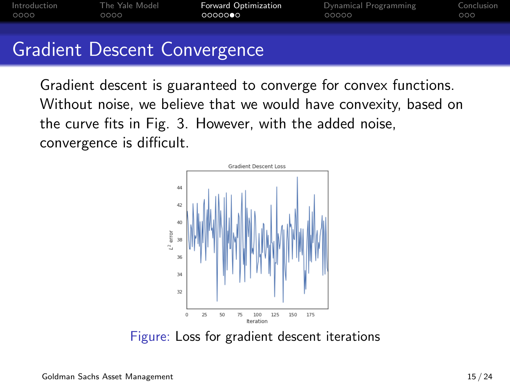| Introduction | The Yale Model | <b>Forward Optimization</b> | Dynamical Programming | Conclusion |
|--------------|----------------|-----------------------------|-----------------------|------------|
| OOOO         | 0000           | ററററൈ⊖െ                     | 00000                 | 000        |
|              |                |                             |                       |            |

## Gradient Descent Convergence

Gradient descent is guaranteed to converge for convex functions. Without noise, we believe that we would have convexity, based on the curve fits in Fig. [3.](#page-11-0) However, with the added noise, convergence is difficult.



Figure: Loss for gradient descent iterations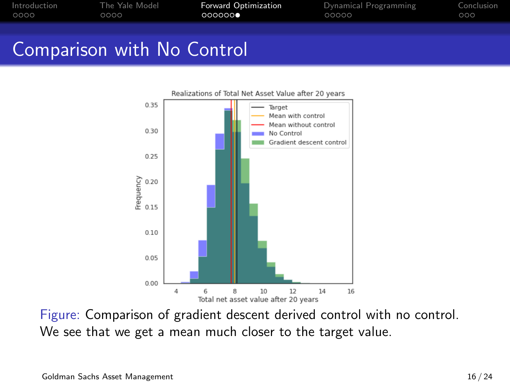| Introduction | The Yale Model | <b>Forward Optimization</b> | Dynamical Programming | Conclusion |
|--------------|----------------|-----------------------------|-----------------------|------------|
| 0000         | 0000           | 0000000                     | 00000                 | 000        |
|              |                |                             |                       |            |

## Comparison with No Control



Figure: Comparison of gradient descent derived control with no control. We see that we get a mean much closer to the target value.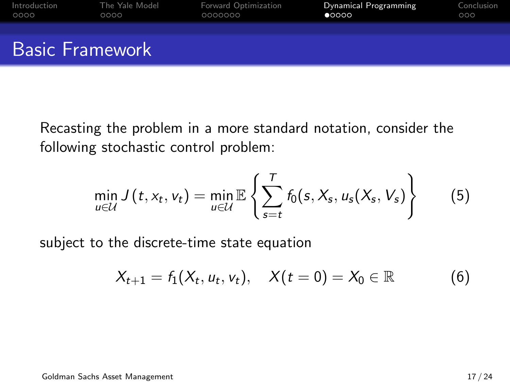<span id="page-16-0"></span>

| Introduction | The Yale Model         | Forward Optimization | Dynamical Programming | Conclusion |
|--------------|------------------------|----------------------|-----------------------|------------|
| 0000         | 0000                   | 0000000              | $\bullet$ 0000        | 000        |
|              | <b>Basic Framework</b> |                      |                       |            |

Recasting the problem in a more standard notation, consider the following stochastic control problem:

$$
\min_{u \in \mathcal{U}} J(t, x_t, v_t) = \min_{u \in \mathcal{U}} \mathbb{E} \left\{ \sum_{s=t}^T f_0(s, X_s, u_s(X_s, V_s) \right\} \tag{5}
$$

subject to the discrete-time state equation

$$
X_{t+1} = f_1(X_t, u_t, v_t), \quad X(t=0) = X_0 \in \mathbb{R}
$$
 (6)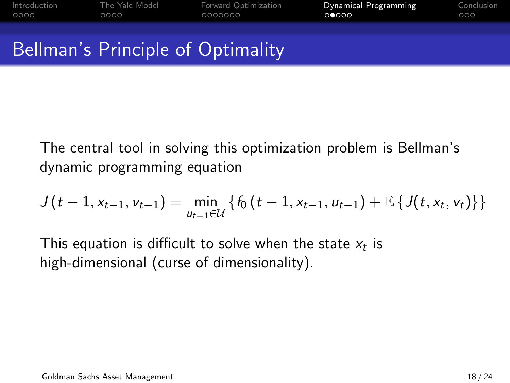| Introduction | The Yale Model | Forward Optimization                     | Dynamical Programming | Conclusion |
|--------------|----------------|------------------------------------------|-----------------------|------------|
| 0000         | 0000           | 0000000                                  | 00000                 | 000        |
|              |                | <b>Bellman's Principle of Optimality</b> |                       |            |

The central tool in solving this optimization problem is Bellman's dynamic programming equation

$$
J(t-1, x_{t-1}, v_{t-1}) = \min_{u_{t-1} \in \mathcal{U}} \left\{ f_0(t-1, x_{t-1}, u_{t-1}) + \mathbb{E} \left\{ J(t, x_t, v_t) \right\} \right\}
$$

This equation is difficult to solve when the state  $\mathsf{x}_t$  is high-dimensional (curse of dimensionality).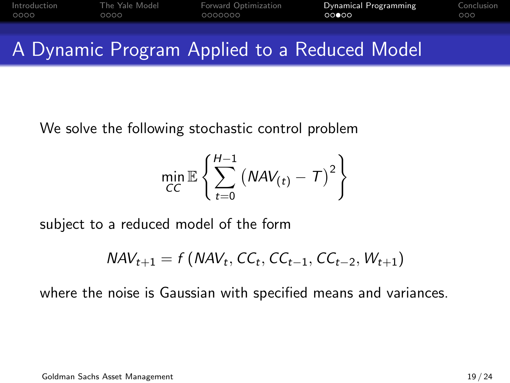| Introduction | The Yale Model | Forward Optimization | Dynamical Programming | Conclusion |
|--------------|----------------|----------------------|-----------------------|------------|
| 0000         | ററററ           | 0000000              | റററേറ                 | റററ        |
|              |                |                      |                       |            |

## A Dynamic Program Applied to a Reduced Model

We solve the following stochastic control problem

$$
\min_{CC} \mathbb{E}\left\{\sum_{t=0}^{H-1} \left(NAV_{(t)} - T\right)^2\right\}
$$

subject to a reduced model of the form

$$
NAV_{t+1} = f(NAV_t, CC_t, CC_{t-1}, CC_{t-2}, W_{t+1})
$$

where the noise is Gaussian with specified means and variances.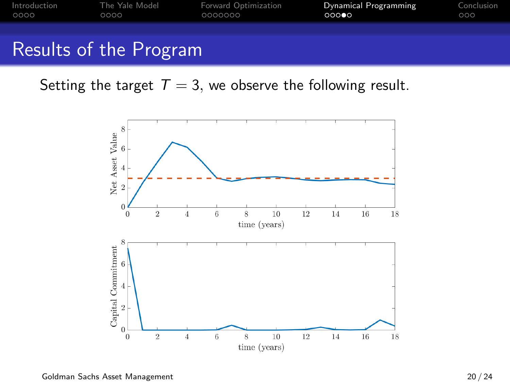| Introduction | The Yale Model | Forward Optimization | Dynamical Programming | Conclusion |
|--------------|----------------|----------------------|-----------------------|------------|
| 0000         | 0000           | 0000000              | 00000                 | 000        |
|              |                |                      |                       |            |

## Results of the Program

Setting the target  $T = 3$ , we observe the following result.

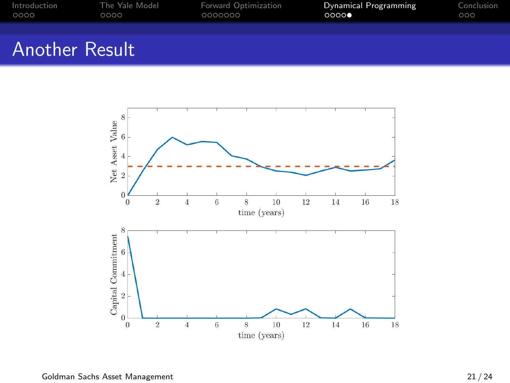| Introduction          | The Yale Model | Forward Optimization | Dynamical Programming | Conclusion |
|-----------------------|----------------|----------------------|-----------------------|------------|
| 0000                  | 0000           | 0000000              | 0000                  | 000        |
| <b>Another Result</b> |                |                      |                       |            |

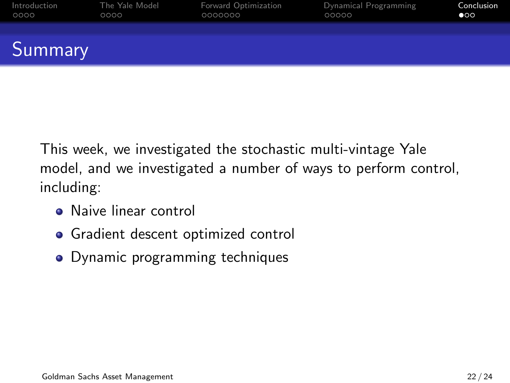<span id="page-21-0"></span>

| Introduction | The Yale Model | Forward Optimization | Dynamical Programming | Conclusion |
|--------------|----------------|----------------------|-----------------------|------------|
| 0000         | 0000           | 0000000              | 00000                 | $\bullet$  |
| Summary      |                |                      |                       |            |

This week, we investigated the stochastic multi-vintage Yale model, and we investigated a number of ways to perform control, including:

- **A** Naive linear control
- **•** Gradient descent optimized control
- Dynamic programming techniques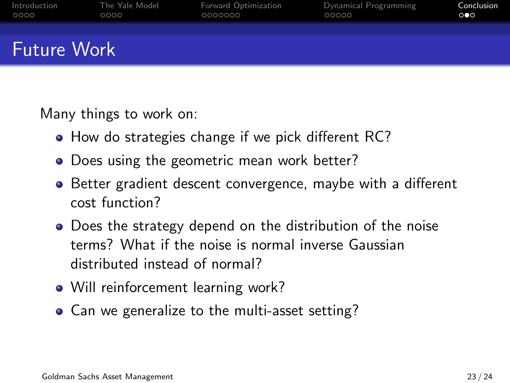| Introduction       | The Yale Model | Forward Optimization | Dynamical Programming | Conclusion            |
|--------------------|----------------|----------------------|-----------------------|-----------------------|
| 0000               | 0000           | 0000000              | 00000                 | $\circ \bullet \circ$ |
| <b>Future Work</b> |                |                      |                       |                       |

Many things to work on:

- How do strategies change if we pick different RC?
- Does using the geometric mean work better?
- Better gradient descent convergence, maybe with a different cost function?
- Does the strategy depend on the distribution of the noise terms? What if the noise is normal inverse Gaussian distributed instead of normal?
- Will reinforcement learning work?
- Can we generalize to the multi-asset setting?